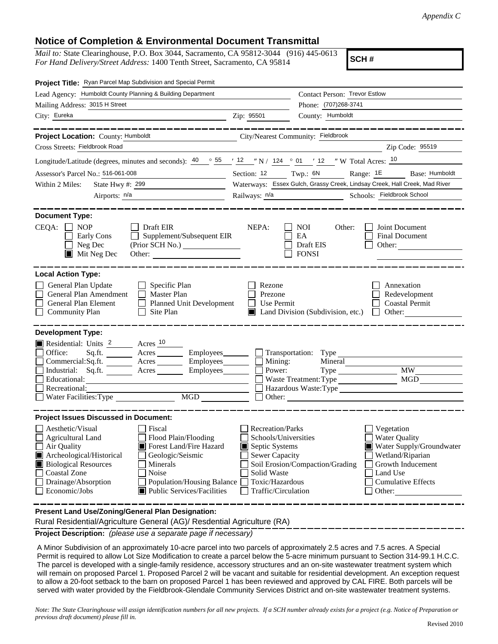## **Notice of Completion & Environmental Document Transmittal**

*Mail to:* State Clearinghouse, P.O. Box 3044, Sacramento, CA 95812-3044 (916) 445-0613 *For Hand Delivery/Street Address:* 1400 Tenth Street, Sacramento, CA 95814

**SCH #**

| Project Title: Ryan Parcel Map Subdivision and Special Permit                                                                                                                                                                                                                                                                                                                                         |                                                                                                                                                     |                                                                                                                                                                                               |  |  |
|-------------------------------------------------------------------------------------------------------------------------------------------------------------------------------------------------------------------------------------------------------------------------------------------------------------------------------------------------------------------------------------------------------|-----------------------------------------------------------------------------------------------------------------------------------------------------|-----------------------------------------------------------------------------------------------------------------------------------------------------------------------------------------------|--|--|
| Lead Agency: Humboldt County Planning & Building Department                                                                                                                                                                                                                                                                                                                                           |                                                                                                                                                     | Contact Person: Trevor Estlow                                                                                                                                                                 |  |  |
| Mailing Address: 3015 H Street                                                                                                                                                                                                                                                                                                                                                                        |                                                                                                                                                     | Phone: (707)268-3741                                                                                                                                                                          |  |  |
| City: Eureka<br><u> 1989 - Johann Stoff, Amerikaansk politiker (</u>                                                                                                                                                                                                                                                                                                                                  | Zip: 95501                                                                                                                                          | County: Humboldt                                                                                                                                                                              |  |  |
|                                                                                                                                                                                                                                                                                                                                                                                                       |                                                                                                                                                     |                                                                                                                                                                                               |  |  |
| Project Location: County: Humboldt<br>City/Nearest Community: Fieldbrook                                                                                                                                                                                                                                                                                                                              |                                                                                                                                                     |                                                                                                                                                                                               |  |  |
| Cross Streets: Fieldbrook Road                                                                                                                                                                                                                                                                                                                                                                        |                                                                                                                                                     | Zip Code: 95519                                                                                                                                                                               |  |  |
| Longitude/Latitude (degrees, minutes and seconds): $\frac{40}{55}$ $\frac{55}{12}$ $\frac{12}{12}$ $\frac{12}{12}$ N / 124 $\degree$ 01 $\degree$ 12 $\degree$ W Total Acres: $\frac{10}{12}$                                                                                                                                                                                                         |                                                                                                                                                     |                                                                                                                                                                                               |  |  |
| Assessor's Parcel No.: 516-061-008<br><u> 1989 - Johann Barbara, martxa a</u>                                                                                                                                                                                                                                                                                                                         | Section: 12 Twp.: 6N<br>Range: 1E<br>Base: Humboldt<br>Waterways: Essex Gulch, Grassy Creek, Lindsay Creek, Hall Creek, Mad River                   |                                                                                                                                                                                               |  |  |
| State Hwy #: 299<br>Within 2 Miles:<br><u> 1989 - Andrea Maria Barbara, poeta española</u>                                                                                                                                                                                                                                                                                                            |                                                                                                                                                     |                                                                                                                                                                                               |  |  |
| Airports: $n/a$                                                                                                                                                                                                                                                                                                                                                                                       | Railways: $n/a$                                                                                                                                     | Schools: Fieldbrook School                                                                                                                                                                    |  |  |
| <b>Document Type:</b><br>CEQA:<br>NOP<br>Draft EIR<br>Supplement/Subsequent EIR<br>Early Cons<br>$\mathcal{L}^{\mathcal{A}}$<br>Neg Dec<br>$\blacksquare$ Mit Neg Dec<br>Other:                                                                                                                                                                                                                       | NEPA:                                                                                                                                               | <b>NOI</b><br>Joint Document<br>Other:<br>EA<br><b>Final Document</b><br>Draft EIS<br>Other: $\qquad \qquad$<br><b>FONSI</b>                                                                  |  |  |
| <b>Local Action Type:</b><br>General Plan Update<br>$\Box$ Specific Plan<br>General Plan Amendment<br>П<br>Master Plan<br>General Plan Element<br><b>Planned Unit Development</b><br><b>Community Plan</b><br>Site Plan<br>$\perp$                                                                                                                                                                    | Rezone<br>Prezone<br>Use Permit                                                                                                                     | Annexation<br>Redevelopment<br><b>Coastal Permit</b><br>Land Division (Subdivision, etc.)<br>Other: $\qquad \qquad$<br>$\mathbf{1}$                                                           |  |  |
| <b>Development Type:</b><br>Residential: Units 2 Acres 10<br>Office:<br>Sq.ft. Acres<br>Commercial:Sq.ft. ________ Acres _________ Employees ________ __ Mining:<br>Industrial: Sq.ft. _______ Acres ________ Employees________ $\square$<br>Educational:<br>Recreational:<br>MGD NG                                                                                                                  | Power:                                                                                                                                              | Employees Transportation: Type<br>Mineral<br>MW -<br>Type<br>MGD<br>Waste Treatment: Type<br>Hazardous Waste:Type                                                                             |  |  |
| <b>Project Issues Discussed in Document:</b><br>Aesthetic/Visual<br>Fiscal<br>Agricultural Land<br>Flood Plain/Flooding<br>Forest Land/Fire Hazard<br>Air Quality<br>Archeological/Historical<br>Geologic/Seismic<br>Ш<br><b>Biological Resources</b><br>Minerals<br><b>Coastal Zone</b><br>Noise<br>Drainage/Absorption<br>Population/Housing Balance<br>Economic/Jobs<br>Public Services/Facilities | <b>Recreation/Parks</b><br>Schools/Universities<br>Septic Systems<br><b>Sewer Capacity</b><br>Solid Waste<br>Toxic/Hazardous<br>Traffic/Circulation | Vegetation<br><b>Water Quality</b><br>Water Supply/Groundwater<br>Wetland/Riparian<br>Soil Erosion/Compaction/Grading<br>Growth Inducement<br>Land Use<br><b>Cumulative Effects</b><br>Other: |  |  |
| Present Land Use/Zoning/General Plan Designation:                                                                                                                                                                                                                                                                                                                                                     |                                                                                                                                                     |                                                                                                                                                                                               |  |  |

Rural Residential/Agriculture General (AG)/ Resdential Agriculture (RA)

**Project Description:** *(please use a separate page if necessary)*

 A Minor Subdivision of an approximately 10-acre parcel into two parcels of approximately 2.5 acres and 7.5 acres. A Special Permit is required to allow Lot Size Modification to create a parcel below the 5-acre minimum pursuant to Section 314-99.1 H.C.C. The parcel is developed with a single-family residence, accessory structures and an on-site wastewater treatment system which will remain on proposed Parcel 1. Proposed Parcel 2 will be vacant and suitable for residential development. An exception request to allow a 20-foot setback to the barn on proposed Parcel 1 has been reviewed and approved by CAL FIRE. Both parcels will be served with water provided by the Fieldbrook-Glendale Community Services District and on-site wastewater treatment systems.

*Note: The State Clearinghouse will assign identification numbers for all new projects. If a SCH number already exists for a project (e.g. Notice of Preparation or previous draft document) please fill in.*